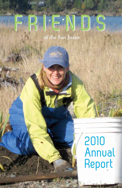# **FRIENDS FRIENDS**

**of the San Juans**

# 2010 Annual Report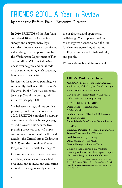# FRIENDS 2010… A Year in Review

by Stephanie Buffum Field - Executive Director

In 2010 FRIENDS of the San Juans completed 10 years of shoreline surveys and enjoyed many legal victories. However, we also confirmed a disturbing trend in permitting by the Washington Department of Fish and Wildlife (WDFW) allowing docks over eelgrass and bulkheads on documented forage fish spawning beaches (see page 5-6).

In victories for rational planning, we successfully challenged the County's Essential Public Facilities ordinance (see page 7) and the Vesting mini initiative (see page 12).

We believe science, and not political pressure, should inform policy. In 2010, FRIENDS completed mapping of our most critical habitats (see page 9) and provided this data for two planning processes that will impact community development for the next decade--the Critical Areas Ordinance (CAO) and the Shoreline Master Program (SMP) update (see page 9).

Our success depends on our partners: members, scientists, interns, allied organizations, foundations, and caring individuals who generously contribute

to our financial and operational well-being. Your support provides the energy we needed to hold the line for clean water, working farms and healthy natural areas for fish, wildlife, and people.

We are extremely grateful to you all.

#### **FRIENDS of the San Juans**

**MISSION:** To protect the land, water, sea, and livability of the San Juan Islands through science, education and advocacy.

P.O. Box 1344, Friday Harbor, WA 98250 360-378-2319 www.sanjuans.org

#### **BOARD OF DIRECTORS:**

**Orcas Island** - Janet Alderton & Marta Nielson **San Juan Island** - Mike Kaill, Bill Watson & Vivien Burnett **Lopez Island** - San Olson & George Lawson **STAFF: Executive Director** *-* Stephanie Buffum Field **Science Director** *-* Tina Whitman **Staff Attorney** *-* Kyle Loring **Office Manager** *-* Jana Marks **Grants Manager** *-* Shannon Davis

Cover: Science Director Tina Whitman restoring habitat at Shoal Bay Lagoon, Lopez. Newsletter design by Tif & Gif Creative.

Printed with Soy Ink on Paper that is 100% PCW, 100% Recycled, Processed Chlorine Free, Ancient Forest Friendly, FSC, Green-e and is manufactured with wind power. No seriously, it is!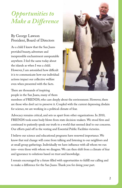# *Opportunities to Make a Difference*

### By George Lawson President, Board of Directors

As a child I knew that the San Juans provided beauty, adventure and inexpressible enchantment unrepeatable anywhere. I feel the same today about the islands as when I was a child. However, I am astonished how difficult it is to communicate how our individual actions impact our collective welfare even when presented with the facts.

There are thousands of inspiring people in the San Juans, many of them



members of FRIENDS, who care deeply about the environment. However, there are those who don't act to preserve it. Coupled with the current depressing disdain for science, we are working in a political climate of fear.

Advocacy remains critical, and sets us apart from other organizations. In 2010, FRIENDS took some body blows from state decision-makers. We stood firm and continued to patiently speak our truth to a world that seemed deaf to our concerns. Our efforts paid off in the vesting and Essential Public Facilities victories.

I believe our science and educational programs have renewed importance. We know that real change will come from talking and listening to our neighbors and at small group gatherings. Individually we have influence with all whom we run into--even those with whom we disagree. We can then shift from a climate of fear and ignorance to solutions based on trust and knowledge.

I remain encouraged by a future filled with opportunities to fulfill our calling and to make a difference for the San Juans. Thank you for doing your part.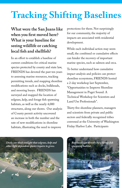# **Tracking Shifting Baselines**

# **What were the San Juans like when you first moved here? What is your baseline for seeing wildlife or catching local fish and shellfish?**

In an effort to establish a baseline of current conditions for critical marine species protected by county and state law, FRIENDS has devoted the past ten years to assessing marine resources, tracking permitting trends, and mapping shoreline modifications such as docks, bulkheads, and mooring buoys. FRIENDS has surveyed and mapped the location of eelgrass, kelp, and forage fish spawning habitats, as well as the nearly 4,000 structures, along our shores. Our analysis of County permit activity uncovered an increase in both the number and the rate of new modifications in shoreline habitats, illustrating the need to improve

protections for them. Not surprisingly for our community, the majority of impacts are associated with residential development.

While each individual action may seem small, the combined or cumulative effects can hinder the recovery of important marine species, such as salmon and orca.

To better understand how cumulative impact analysis and policies can protect shoreline ecosystems, FRIENDS hosted a 2-day workshop last September, "Opportunities to Improve Shoreline Management in Puget Sound: A Technical Workshop for Scientists and Land Use Professionals".

Thirty five shoreline planners, managers and scientists from private and public sectors and federally recognized tribes convened at the University of Washington Friday Harbor Labs. Participants

*Docks can block sunlight that eelgrass, kelp and other light dependent species require to grow.* 



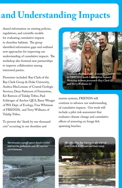# and Understanding Impacts

shared information on existing policies, regulations, and scientific models for evaluating cumulative impacts to shoreline habitats. The group identified information gaps and outlined new approaches for improving our understanding of cumulative impacts. The workshop also fostered new partnerships to improve collaboration among interested parties.

Presenters included: Ray Clark of the Ray Clark Group & Duke University, Andrea MacLennan of Coastal Geologic Services, Dean Patterson of Futurewise, Kit Rawson of Tulalip Tribes, Paul Schlenger of Anchor QEA, Barry Wenger of WA Dept. of Ecology, Tina Whitman of FRIENDS, and Terry Williams of Tulalip Tribes.

To prevent the "death by one thousand cuts" occurring in our shoreline and



*Stephanie Buffum Field , Executive Director of FRIENDS, with Cumulative Impacts Workshop keynote presenters Ray Clark (l) and Terry Williams (r)*

marine systems, FRIENDS will continue to advance our understanding of cumulative impacts. Our work will include a pilot risk assessment that evaluates climate change and cumulative effects of armoring on forage fish spawning beaches.



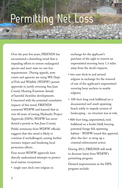# Permitting Net Loss

Over the past few years, FRIENDS has encountered a disturbing trend that is impeding efforts to restore endangered species and meet state no-net-loss requirements. During appeals, state courts and agencies are using WA Dept. of Fish and Wildlife (WDFW) permit approvals to justify reversing San Juan County Hearing Examiner denials of harmful shoreline developments. Concerned with the potential cumulative impacts of this trend, FRIENDS contacted WDFW and learned that in over 60 years of issuing Hydraulic Project Approvals (HPA), WDFW has never denied a permit in San Juan County. Public testimony from WDFW officials suggests that this trend is likely to continue if unchallenged, causing further resource impact and hindering local protection efforts.

Four recent WDFW approvals have directly undermined attempts to protect local marine ecosystems:

• single-user dock over eelgrass in

exchange for the applicant's purchase of the right to remove an unpermitted mooring buoy 1.3 miles away from the dock's impacts;

- two-user dock in and around eelgrass in exchange for the removal of one of the applicant's unpermitted mooring buoy anchors in nearby eelgrass;
- 100-foot-long rock bulkhead on a documented surf smelt spawning beach solely to impede erosion of landscaping - no structure was at risk;
- 800-foot-long, unpermitted, rock bulkhead on a feeder bluff, burying potential forage fish spawning habitat - WDFW issued this approval after-the-fact to wrap up a criminal enforcement action.

During 2011, FRIENDS will work to decrease harm from WDFW's permitting program.

Desired improvements in the HPA program include: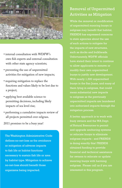

- internal consultation with WDFW's own fish experts and external consultation with other state agency scientists;
- preventing the use of unpermitted activities for mitigation of new impacts;
- requiring mitigation to replace the functions and values likely to be lost due to a project;
- applying best available science to permitting decisions, including likely impacts of sea level rise;
- performing a cumulative impacts review of all projects permitted over eelgrass.

2011 promises to be a busy year!

The Washington Administrative Code defines no-net-loss as the avoidance or mitigation of adverse impacts to fish life or habitat functions necessary to sustain fish life or area by habitat type. Mitigation to achieve no-net-loss should benefit those organisms being impacted.

### Removal of Unpermitted Activities as Mitigation

While the removal or modification of unpermitted mooring buoys in eelgrass may benefit that habitat, FRIENDS has expressed concerns to state agencies about the use of such actions to mitigate for the impacts of new structures, such as docks and bulkheads. Unfortunately, WDFW officials have stated their intent to continue to allow applicants to remove or modify their own unpermitted buoys to justify new development. With nearly 1,500 unpermitted buoys in the San Juans, and many of them lying in eelgrass, that could mean substantial new impacts to eelgrass as the previously unpermitted impacts are laundered into authorized impacts through the mitigation process.

A better approach is to work with of Natural Resources to permit and upgrade anchoring systems or relocate buoys to eliminate eelgrass impacts - and FRIENDS is doing exactly this! FRIENDS obtained funding to provide financial and technical assistance for owners to relocate or update mooring buoys with harming eelgrass. Please call us if you are interested in this program.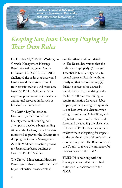*2010 Board President Mike Kaill conducts a beach seine at Westcott Bay with staff attorney Kyle Loring (r)*

# *Keeping San Juan County Playing By Their Own Rules*

On October 12, 2010, the Washington Growth Management Hearings Board rejected San Juan County Ordinance No. 2-2010. FRIENDS challenged the ordinance that would have allowed the construction of trash transfer stations and other new Essential Public Facilities without requiring preservation of critical areas and natural resource lands, such as farmland and forestland.

The Griffin Bay Preservation Committee, which has held the County accountable during past attempts to develop a barge landing site near the La Farge gravel pit also intervened to prevent the County from skipping the Growth Management Act's (GMA) determination process for designating barge landings as Essential Public Facilities.

The Growth Management Hearings Board agreed that the ordinance failed to protect critical areas, farmland,

and forestland and invalidated it. The Board determined that the ordinance improperly: (1) assigned Essential Public Facility status to several trypes of facilities without justifying that determination; (2) failed to protect critical areas by merely disfavoring the siting of the facilities in those areas, failing to require mitigation for unavoidable impacts, and neglecting to require the use of Best Available Science when siting Essential Public Facilities; and (3) failed to conserve farmland and forestland by allowing the placement of Essential Public Facilities in their midst without mitigating for impacts to the continued use of those lands for resource purposes. The Board ordered the County to revise the ordinance for consistency with the GMA.

FRIENDS is working with the County to ensure that the revised ordinance is consistent with the GMA.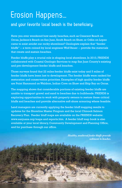# Erosion Happens...

### **and your favorite local beach is the beneficiary.**

Have you ever wondered how sandy beaches, such as Crescent Beach on Orcas, Jackson's Beach on San Juan, South Beach on Shaw, or Odlin on Lopez came to exist amidst our rocky shorelines? Geologists explain that "feeder bluffs" -- a term coined by local engineer Wolf Bauer -- provide the materials that create and sustain beaches.

Feeder bluffs play a crucial role in shaping local shorelines. In 2010, FRIENDS collaborated with Coastal Geologic Services to map San Juan County's existing and pre-development feeder bluffs and beaches.

Those surveys found that 22 miles feeder bluffs exist today and 5 miles of feeder bluffs have been lost to development. The feeder bluffs were ranked for restoration and conservation priorities. Examples of high quality feeder bluffs are Point Hammond on Waldron, Indian Cove on Shaw and Ship Bay on Orcas.

The mapping shows that considerable portions of existing feeder bluffs are unable to transport gravel and sand to beaches due to bulkheads. FRIENDS is exploring opportunities to work with property owners to restore these critical bluffs and beaches and provide alternative soft shore armoring where feasible.

Land managers are currently applying the feeder bluff mapping results to updates for the Shoreline Master Program and the local Chinook Salmon Recovery Plan. Feeder bluff maps are available on the FRIENDS website: www.sanjuans.org/maps and reports.htm. A feeder bluff map book is also available at your local library, Community Development and Planning Office, and for purchase through our office.

> *Healthy, unaltered feeder bluffs provide sediment to beaches.*

> > 8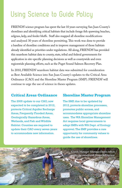# Using Science to Guide Policy

FRIENDS' science program has spent the last 10 years surveying San Juan County's shorelines and identifying critical habitats that include forage fish spawning beaches, eelgrass, kelp, and feeder bluffs. Staff also mapped all shoreline modifications and analyzed 30 years of shoreline permitting. This work was done to provide a baseline of shoreline conditions and to improve management of those habitats already identified as priorities under regulations. All along, FRIENDS' has provided this nearshore habitat data to county, state, tribal and federal governments for application in site-specific planning decisions as well as countywide and even regionwide planning efforts, such as the Puget Sound Salmon Recovery Plan.

In 2010, FRIENDS' nearshore habitat data was submitted for consideration as Best Available Science into San Juan County's updates to the Critical Area Ordinance (CAO) and the Shoreline Master Program (SMP). FRIENDS' will continue to urge the use of science in theses updates.

#### **Critical Areas Ordinance**

The 2005 update to our CAO, now expected to be completed in 2012, protects Critical Aquifer Recharge Areas, Frequently Flooded Areas, Geologically Hazardous Areas, Wetlands, and Fish and Wildlife Habitat. Counties are required to update their CAO every seven years to accommodate new information.

#### **Shoreline Master Program**

The SMP, due to be updated by 2012, protects shoreline processes, promotes public access, and accommodates appropriate shoreline uses. The WA Shoreline Management Act requires local governments to adopt SMPs with WA Dept. of Ecology approval. The SMP provides a rare opportunity for community values to guide the use of shorelines.

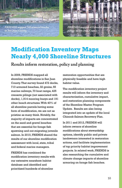*FRIENDS mapped 710 armored beaches in San Juan County.* 

*FRIENDS mapped 425 derelict creosote pilings in San Juan County.* 

# **Modification Inventory Maps Nearly 4,000 Shoreline Structures**

**Results inform restoration, policy and planning**

In 2009, FRIENDS mapped all shoreline modifications in San Juan County. That survey found 472 docks, 710 armored beaches, 32 groins, 55 marine railways, 70 boat ramps, 425 creosote pilings (not associated with docks), 1,914 mooring buoys and 191 other beach structures. With 40% of all shoreline parcels having some form of modification, we are not as pristine as many think. Notably, the majority of impacts are concentrated on the sand and gravel beaches that are essential for forage fish spawning and out-migrating juvenile salmon. In 2010, FRIENDS shared the results of our shoreline modification assessment with local, state, tribal and federal marine managers.

FRIENDS has combined the modification inventory results with our extensive nearshore habitat database and identified and prioritized hundreds of shoreline

restoration opportunities that are physically feasible and have high habitat value.

The modification inventory project results will inform the inventory and characterization, cumulative impact, and restoration planning components of the Shoreline Master Program Update. Results are also being integrated into an update of the local Chinook Salmon Recovery Plan.

In 2011 and 2012, FRIENDS will inform owners of shoreline modifications about stewardship options, identify public and private landowners interested in restoration actions, and facilitate implementation of top priority habitat improvement projects. In related work, FRIENDS is also researching the cumulative and climate change impacts of shoreline armoring on forage fish beaches.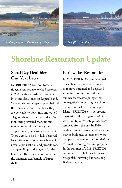



# **Shoreline Restoration Update**

# **Shoal Bay Healthier One Year Later**

In 2010, FRIENDS monitored a tidegate removal site we had restored in 2009 with shellfish farm owners Nick and Sara Jones on Lopez Island. Where fish used to get trapped behind the tidegate at mid-level tides, they are now able to travel into and out of a lagoon there at all minus tides. Our monitoring revealed that summer temperatures within the lagoon dropped nearly 5 degrees Fahrenheit. There were also no fish kills observed. In addition, observers saw schools of juvenile pink salmon and juvenile cods and greenlings in the lagoon for the first time. The project also resulted in the unanticipated benefit of larger, shellfish.

## **Barlow Bay Restoration**

In 2010, FRIENDS completed field research and restoration designs to remove outdated and degraded shoreline modifications (docks, bulkheads, creosote pilings) that are negatively impacting nearshore habitats in Barlow Bay on Lopez Island. FRIENDS on-the-ground restoration efforts began in 2009 when multiple creosote pilings were removed from the bay. In 2010, wetland, archaeological and nearshore marine biological assessments were completed as were restoration designs for small armoring removal projects. In the summer of 2011, FRIENDS will remove derelict rock from known forage fish spawning habitat along Barlow Bay road.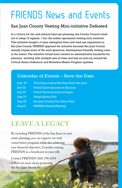# FRIENDS News and Events

### San Juan County Vesting Mini-initiative Defeated

In a victory for fair and rational land use planning, the County Council voted not to adopt (5 against, 1 for) the realtor-sponsored vesting mini-initiative. This initiative sought a 4-year exemption from new land use regulations in San Juan County. FRIENDS opposed the initiative because San Juan County already enjoys some of the most generous, development friendly vesting rules in the nation. The initiative would have created an administrative headache for planners working with multiple sets of rules and was an end run around the Critical Areas Ordinance and Shoreline Master Program updates.

### Calendar of Events – Save the Date

12

| June 18          | Orca Sing at Lime Kiln State Park, San Juan |
|------------------|---------------------------------------------|
| July 22          | Tribal Canoe Journey on San Juan            |
| $\sqrt{$ July 23 | Tribal Canoe Journey on Lopez               |
| Aug $13$         | <b>Orcas Library Fair</b>                   |
| <b>Aug 20</b>    | San Juan County Fair Green Tent             |
| Aug $27$         | <b>FRIENDS Annual Meeting</b>               |

# **LEAVE A LEGACY**

By including FRIENDS of the San Juans in your estate planning, you can support our vital conservation programs while also achieving your financial objectives. Consider naming FRIENDS as a beneficiary in your will.

Contact FRIENDS (360) 378-2319 to find out more about protecting the San Juan Islands for future generations.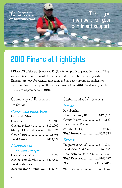*Office Manager Jana Marks assists on Barlow Bay Restoration Project.*

Thank you members for your continued support!

# **2010 Financial Highlights**

FRIENDS of the San Juans is a 501(C)(3) non profit organization. FRIENDS receives its income primarily from membership contributions and grants. Expenditures pay for science, education and advocacy programs, publications, and administrative support. This is a summary of our 2010 Fiscal Year (October 1, 2009 to September 30, 2010).

# Summary of Financial Position

### *Current and Fixed Assets.*

| Total Assets \$430,379           |  |
|----------------------------------|--|
| Other Assets\$895                |  |
| Marilyn Ellis Endowment \$77,076 |  |
| Operating Reserve \$101,000      |  |
| Unrestricted \$251,408           |  |
| Cash and Other                   |  |

#### *Liabilities and Accumulated Surplus*

| Current Liabilities\$792       |  |
|--------------------------------|--|
| Accumulated Surplus \$429,587  |  |
| Total Liabilities &            |  |
| Accumulated Surplus  \$430,379 |  |

### Statement of Activities

#### *Income*

| Total Income \$652,538        |  |
|-------------------------------|--|
| & Other (1.4%) \$9,326        |  |
| Investments, Events           |  |
| Grants (68.6%) \$447,637      |  |
| Contributions (30%) \$195,575 |  |
| Membership                    |  |

#### *Expenses*

| Total Expenses\$546,897         |  |
|---------------------------------|--|
| Administration (5.71%) \$31,233 |  |
| Fundraising (7.48%)  \$40,921   |  |
| Programs (86.81%) \$474,743     |  |

\*Note: \$101,000 transferred into an Operating Reserve.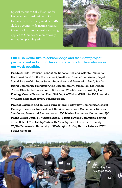her generous contributions of GIS applied to Chinook salmon recovery



FRIENDS would like to acknowledge and thank our project partners, in-kind supporters and generous funders who make our work possible.

**Funders:** ESRI, Horizons Foundation, National Fish and Wildlife Foundation, Northwest Fund for the Environment, Northwest Straits Commission, Puget Sound Partnership, Puget Sound Acquisition and Restoration Fund, San Juan Island Community Foundation, The Russell Family Foundation, The Tulalip Tribes Charitable Foundation, U.S. Fish and Wildlife Service, WA Dept. of Ecology Coastal Protection Fund, WA Dept. of Fish and Wildlife ALEA, and the WA State Salmon Recovery Funding Board.

**Project Partners and In-Kind Supporters:** Barlow Bay Community, Coastal Geologic Services, National Park Service, Neck Point Community, Nick and Sara Jones, Rosewood Environmental, SJC Marine Resources Committee, SJC Public Works Dept., SJI Visitors Bureau, Scenic Byways Committee, Spring Street School, The Tulalip Tribes, Dr. Tina Wyllie-Echeverria, Dr. Sandy Wyllie-Echeverria, University of Washington Friday Harbor Labs and WSU Beach Watchers.

> *Westcott Bay Low Tide Beach Walk.*